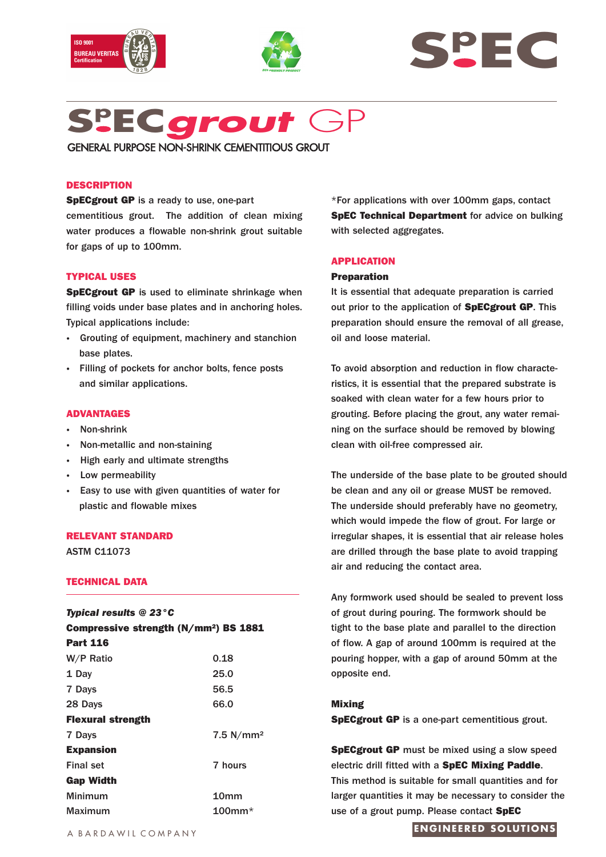







GENERAL PURPOSE NON-SHRINK CEMENTITIOUS GROUT

# **DESCRIPTION**

**SpECgrout GP** is a ready to use, one-part cementitious grout. The addition of clean mixing water produces a flowable non-shrink grout suitable for gaps of up to 100mm.

## **TYPICAL USES**

**SpECgrout GP** is used to eliminate shrinkage when filling voids under base plates and in anchoring holes. Typical applications include:

- **·** Grouting of equipment, machinery and stanchion base plates.
- **·** Filling of pockets for anchor bolts, fence posts and similar applications.

#### **ADVANTAGES**

- **·** Non-shrink
- **·** Non-metallic and non-staining
- **·** High early and ultimate strengths
- **·** Low permeability
- **·** Easy to use with given quantities of water for plastic and flowable mixes

## **RELEVANT STANDARD**

ASTM C11073

# **TECHNICAL DATA**

| <b>Typical results @ 23 °C</b><br>Compressive strength (N/mm <sup>2</sup> ) BS 1881 |                      |  |
|-------------------------------------------------------------------------------------|----------------------|--|
|                                                                                     |                      |  |
| W/P Ratio                                                                           | 0.18                 |  |
| 1 Day                                                                               | 25.0                 |  |
| 7 Days                                                                              | 56.5                 |  |
| 28 Days                                                                             | 66,0                 |  |
| <b>Flexural strength</b>                                                            |                      |  |
| 7 Days                                                                              | $7.5 \text{ N/mm}^2$ |  |
| <b>Expansion</b>                                                                    |                      |  |
| <b>Final set</b>                                                                    | 7 hours              |  |
| <b>Gap Width</b>                                                                    |                      |  |
| Minimum                                                                             | 10 <sub>mm</sub>     |  |
| Maximum                                                                             | 100mm $^{\star}$     |  |

\*For applications with over 100mm gaps, contact **SpEC Technical Department** for advice on bulking with selected aggregates.

## **APPLICATION**

#### **Preparation**

It is essential that adequate preparation is carried out prior to the application of **SpECgrout GP**. This preparation should ensure the removal of all grease, oil and loose material.

To avoid absorption and reduction in flow characteristics, it is essential that the prepared substrate is soaked with clean water for a few hours prior to grouting. Before placing the grout, any water remaining on the surface should be removed by blowing clean with oil-free compressed air.

The underside of the base plate to be grouted should be clean and any oil or grease MUST be removed. The underside should preferably have no geometry, which would impede the flow of grout. For large or irregular shapes, it is essential that air release holes are drilled through the base plate to avoid trapping air and reducing the contact area.

Any formwork used should be sealed to prevent loss of grout during pouring. The formwork should be tight to the base plate and parallel to the direction of flow. A gap of around 100mm is required at the pouring hopper, with a gap of around 50mm at the opposite end.

#### **Mixing**

**SpECgrout GP** is a one-part cementitious grout.

**SpECgrout GP** must be mixed using a slow speed electric drill fitted with a **SpEC Mixing Paddle**. This method is suitable for small quantities and for larger quantities it may be necessary to consider the use of a grout pump. Please contact **SpEC**

# **ENGINEERED SOLUTIONS**